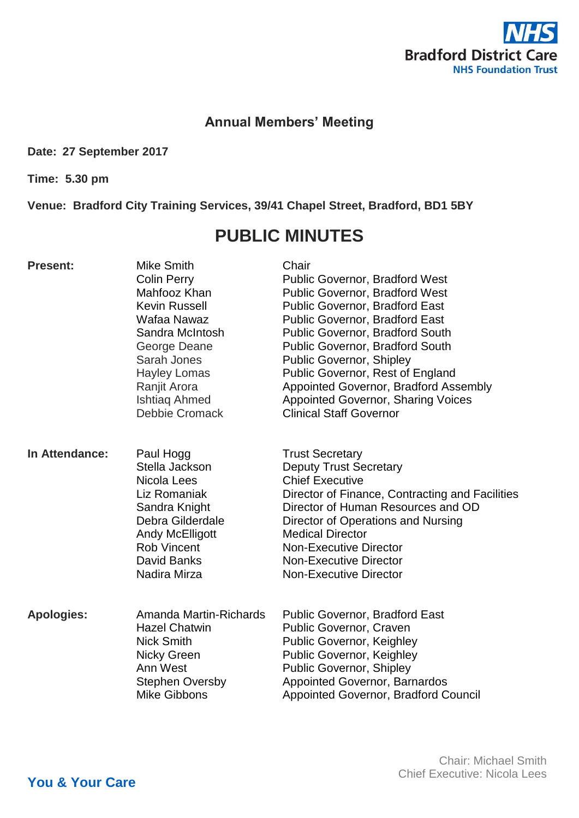

## **Annual Members' Meeting**

**Date: 27 September 2017**

**Time: 5.30 pm**

**Venue: Bradford City Training Services, 39/41 Chapel Street, Bradford, BD1 5BY**

## **PUBLIC MINUTES**

| <b>Present:</b>   | <b>Mike Smith</b><br><b>Colin Perry</b><br>Mahfooz Khan<br><b>Kevin Russell</b><br>Wafaa Nawaz<br>Sandra McIntosh<br>George Deane<br>Sarah Jones<br><b>Hayley Lomas</b><br>Ranjit Arora<br><b>Ishtiaq Ahmed</b><br><b>Debbie Cromack</b> | Chair<br><b>Public Governor, Bradford West</b><br><b>Public Governor, Bradford West</b><br><b>Public Governor, Bradford East</b><br><b>Public Governor, Bradford East</b><br><b>Public Governor, Bradford South</b><br><b>Public Governor, Bradford South</b><br><b>Public Governor, Shipley</b><br>Public Governor, Rest of England<br>Appointed Governor, Bradford Assembly<br><b>Appointed Governor, Sharing Voices</b><br><b>Clinical Staff Governor</b> |
|-------------------|------------------------------------------------------------------------------------------------------------------------------------------------------------------------------------------------------------------------------------------|--------------------------------------------------------------------------------------------------------------------------------------------------------------------------------------------------------------------------------------------------------------------------------------------------------------------------------------------------------------------------------------------------------------------------------------------------------------|
| In Attendance:    | Paul Hogg<br>Stella Jackson<br>Nicola Lees<br>Liz Romaniak<br>Sandra Knight<br>Debra Gilderdale<br><b>Andy McElligott</b><br><b>Rob Vincent</b><br><b>David Banks</b><br>Nadira Mirza                                                    | <b>Trust Secretary</b><br><b>Deputy Trust Secretary</b><br><b>Chief Executive</b><br>Director of Finance, Contracting and Facilities<br>Director of Human Resources and OD<br>Director of Operations and Nursing<br><b>Medical Director</b><br><b>Non-Executive Director</b><br><b>Non-Executive Director</b><br><b>Non-Executive Director</b>                                                                                                               |
| <b>Apologies:</b> | Amanda Martin-Richards<br><b>Hazel Chatwin</b><br><b>Nick Smith</b><br><b>Nicky Green</b><br>Ann West<br><b>Stephen Oversby</b><br><b>Mike Gibbons</b>                                                                                   | <b>Public Governor, Bradford East</b><br><b>Public Governor, Craven</b><br><b>Public Governor, Keighley</b><br><b>Public Governor, Keighley</b><br>Public Governor, Shipley<br>Appointed Governor, Barnardos<br><b>Appointed Governor, Bradford Council</b>                                                                                                                                                                                                  |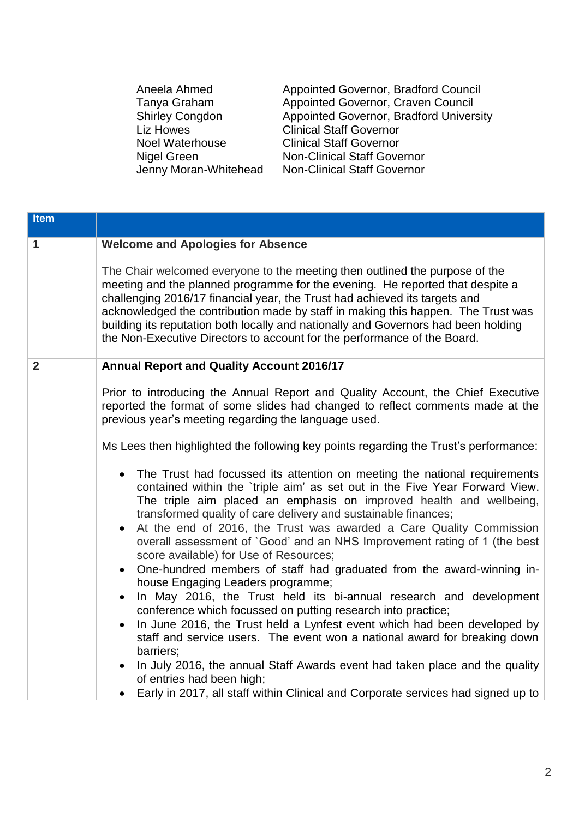Aneela Ahmed Tanya Graham Shirley Congdon Liz Howes Noel Waterhouse Nigel Green Jenny Moran-Whitehead Appointed Governor, Bradford Council Appointed Governor, Craven Council Appointed Governor, Bradford University Clinical Staff Governor Clinical Staff Governor Non-Clinical Staff Governor Non-Clinical Staff Governor

| <b>Item</b>    |                                                                                                                                                                                                                                                                                                                                                                                                                                                                                                                                                                                                                                                                                                                                                                                                                                                                                                                                                                                                                                                                                                        |  |  |  |
|----------------|--------------------------------------------------------------------------------------------------------------------------------------------------------------------------------------------------------------------------------------------------------------------------------------------------------------------------------------------------------------------------------------------------------------------------------------------------------------------------------------------------------------------------------------------------------------------------------------------------------------------------------------------------------------------------------------------------------------------------------------------------------------------------------------------------------------------------------------------------------------------------------------------------------------------------------------------------------------------------------------------------------------------------------------------------------------------------------------------------------|--|--|--|
| $\mathbf{1}$   | <b>Welcome and Apologies for Absence</b>                                                                                                                                                                                                                                                                                                                                                                                                                                                                                                                                                                                                                                                                                                                                                                                                                                                                                                                                                                                                                                                               |  |  |  |
|                | The Chair welcomed everyone to the meeting then outlined the purpose of the<br>meeting and the planned programme for the evening. He reported that despite a<br>challenging 2016/17 financial year, the Trust had achieved its targets and<br>acknowledged the contribution made by staff in making this happen. The Trust was<br>building its reputation both locally and nationally and Governors had been holding<br>the Non-Executive Directors to account for the performance of the Board.                                                                                                                                                                                                                                                                                                                                                                                                                                                                                                                                                                                                       |  |  |  |
| $\overline{2}$ | <b>Annual Report and Quality Account 2016/17</b>                                                                                                                                                                                                                                                                                                                                                                                                                                                                                                                                                                                                                                                                                                                                                                                                                                                                                                                                                                                                                                                       |  |  |  |
|                | Prior to introducing the Annual Report and Quality Account, the Chief Executive<br>reported the format of some slides had changed to reflect comments made at the<br>previous year's meeting regarding the language used.                                                                                                                                                                                                                                                                                                                                                                                                                                                                                                                                                                                                                                                                                                                                                                                                                                                                              |  |  |  |
|                | Ms Lees then highlighted the following key points regarding the Trust's performance:                                                                                                                                                                                                                                                                                                                                                                                                                                                                                                                                                                                                                                                                                                                                                                                                                                                                                                                                                                                                                   |  |  |  |
|                | The Trust had focussed its attention on meeting the national requirements<br>$\bullet$<br>contained within the 'triple aim' as set out in the Five Year Forward View.<br>The triple aim placed an emphasis on improved health and wellbeing,<br>transformed quality of care delivery and sustainable finances;<br>At the end of 2016, the Trust was awarded a Care Quality Commission<br>$\bullet$<br>overall assessment of `Good' and an NHS Improvement rating of 1 (the best<br>score available) for Use of Resources;<br>One-hundred members of staff had graduated from the award-winning in-<br>$\bullet$<br>house Engaging Leaders programme;<br>In May 2016, the Trust held its bi-annual research and development<br>conference which focussed on putting research into practice;<br>In June 2016, the Trust held a Lynfest event which had been developed by<br>$\bullet$<br>staff and service users. The event won a national award for breaking down<br>barriers;<br>In July 2016, the annual Staff Awards event had taken place and the quality<br>$\bullet$<br>of entries had been high; |  |  |  |
|                | Early in 2017, all staff within Clinical and Corporate services had signed up to                                                                                                                                                                                                                                                                                                                                                                                                                                                                                                                                                                                                                                                                                                                                                                                                                                                                                                                                                                                                                       |  |  |  |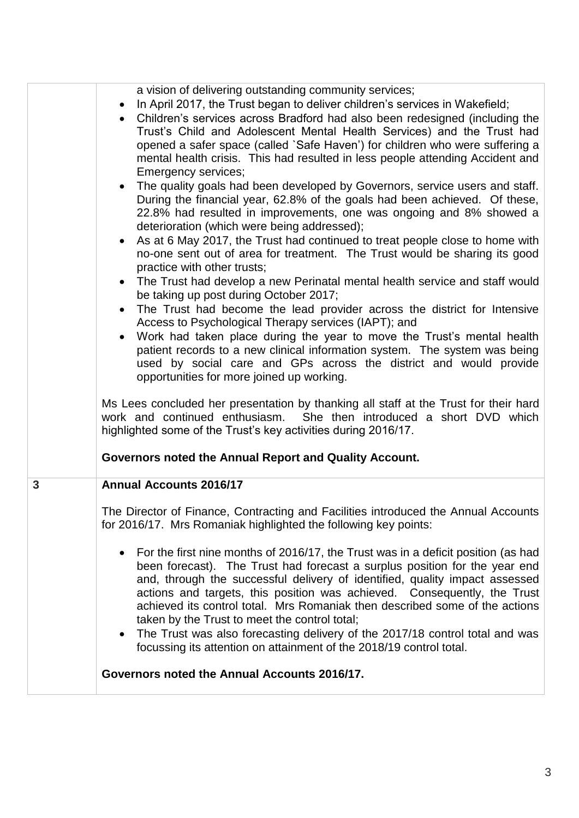|   | a vision of delivering outstanding community services;<br>In April 2017, the Trust began to deliver children's services in Wakefield;<br>$\bullet$<br>Children's services across Bradford had also been redesigned (including the<br>Trust's Child and Adolescent Mental Health Services) and the Trust had<br>opened a safer space (called `Safe Haven') for children who were suffering a<br>mental health crisis. This had resulted in less people attending Accident and<br>Emergency services;<br>• The quality goals had been developed by Governors, service users and staff.<br>During the financial year, 62.8% of the goals had been achieved. Of these,<br>22.8% had resulted in improvements, one was ongoing and 8% showed a<br>deterioration (which were being addressed);<br>• As at 6 May 2017, the Trust had continued to treat people close to home with<br>no-one sent out of area for treatment. The Trust would be sharing its good<br>practice with other trusts;<br>• The Trust had develop a new Perinatal mental health service and staff would<br>be taking up post during October 2017; |
|---|--------------------------------------------------------------------------------------------------------------------------------------------------------------------------------------------------------------------------------------------------------------------------------------------------------------------------------------------------------------------------------------------------------------------------------------------------------------------------------------------------------------------------------------------------------------------------------------------------------------------------------------------------------------------------------------------------------------------------------------------------------------------------------------------------------------------------------------------------------------------------------------------------------------------------------------------------------------------------------------------------------------------------------------------------------------------------------------------------------------------|
|   | The Trust had become the lead provider across the district for Intensive<br>$\bullet$<br>Access to Psychological Therapy services (IAPT); and<br>Work had taken place during the year to move the Trust's mental health<br>$\bullet$<br>patient records to a new clinical information system. The system was being<br>used by social care and GPs across the district and would provide<br>opportunities for more joined up working.<br>Ms Lees concluded her presentation by thanking all staff at the Trust for their hard<br>She then introduced a short DVD which<br>work and continued enthusiasm.<br>highlighted some of the Trust's key activities during 2016/17.<br>Governors noted the Annual Report and Quality Account.                                                                                                                                                                                                                                                                                                                                                                                |
| 3 | <b>Annual Accounts 2016/17</b><br>The Director of Finance, Contracting and Facilities introduced the Annual Accounts<br>for 2016/17. Mrs Romaniak highlighted the following key points:<br>• For the first nine months of 2016/17, the Trust was in a deficit position (as had<br>been forecast). The Trust had forecast a surplus position for the year end<br>and, through the successful delivery of identified, quality impact assessed<br>actions and targets, this position was achieved. Consequently, the Trust<br>achieved its control total. Mrs Romaniak then described some of the actions<br>taken by the Trust to meet the control total;<br>The Trust was also forecasting delivery of the 2017/18 control total and was<br>$\bullet$<br>focussing its attention on attainment of the 2018/19 control total.                                                                                                                                                                                                                                                                                        |
|   | Governors noted the Annual Accounts 2016/17.                                                                                                                                                                                                                                                                                                                                                                                                                                                                                                                                                                                                                                                                                                                                                                                                                                                                                                                                                                                                                                                                       |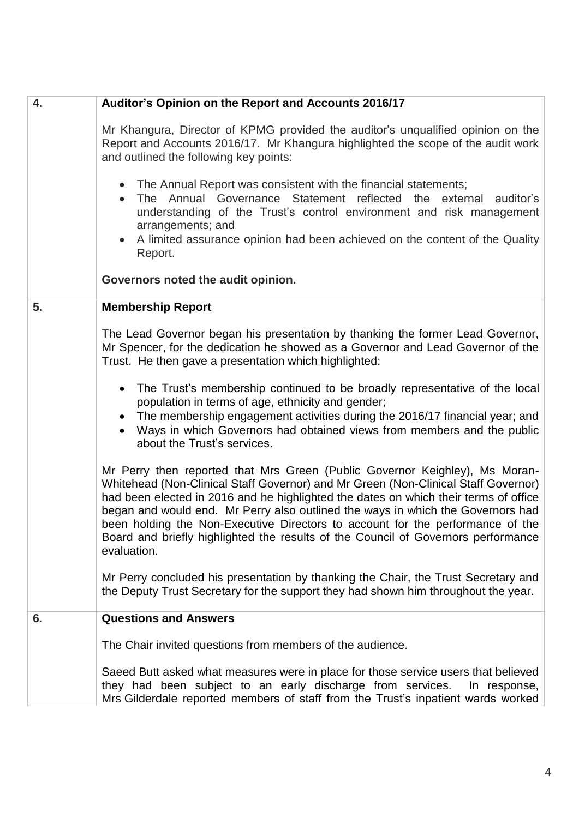| 4. | Auditor's Opinion on the Report and Accounts 2016/17                                                                                                                                                                                                                                                                                                                                                                                                                                                                               |  |  |
|----|------------------------------------------------------------------------------------------------------------------------------------------------------------------------------------------------------------------------------------------------------------------------------------------------------------------------------------------------------------------------------------------------------------------------------------------------------------------------------------------------------------------------------------|--|--|
|    | Mr Khangura, Director of KPMG provided the auditor's unqualified opinion on the<br>Report and Accounts 2016/17. Mr Khangura highlighted the scope of the audit work<br>and outlined the following key points:                                                                                                                                                                                                                                                                                                                      |  |  |
|    | • The Annual Report was consistent with the financial statements;<br>The Annual Governance Statement reflected the external<br>auditor's<br>$\bullet$<br>understanding of the Trust's control environment and risk management<br>arrangements; and<br>A limited assurance opinion had been achieved on the content of the Quality<br>Report.                                                                                                                                                                                       |  |  |
|    | Governors noted the audit opinion.                                                                                                                                                                                                                                                                                                                                                                                                                                                                                                 |  |  |
| 5. | <b>Membership Report</b>                                                                                                                                                                                                                                                                                                                                                                                                                                                                                                           |  |  |
|    | The Lead Governor began his presentation by thanking the former Lead Governor,<br>Mr Spencer, for the dedication he showed as a Governor and Lead Governor of the<br>Trust. He then gave a presentation which highlighted:                                                                                                                                                                                                                                                                                                         |  |  |
|    | The Trust's membership continued to be broadly representative of the local<br>$\bullet$<br>population in terms of age, ethnicity and gender;<br>The membership engagement activities during the 2016/17 financial year; and<br>Ways in which Governors had obtained views from members and the public<br>about the Trust's services.                                                                                                                                                                                               |  |  |
|    | Mr Perry then reported that Mrs Green (Public Governor Keighley), Ms Moran-<br>Whitehead (Non-Clinical Staff Governor) and Mr Green (Non-Clinical Staff Governor)<br>had been elected in 2016 and he highlighted the dates on which their terms of office<br>began and would end. Mr Perry also outlined the ways in which the Governors had<br>been holding the Non-Executive Directors to account for the performance of the<br>Board and briefly highlighted the results of the Council of Governors performance<br>evaluation. |  |  |
|    | Mr Perry concluded his presentation by thanking the Chair, the Trust Secretary and<br>the Deputy Trust Secretary for the support they had shown him throughout the year.                                                                                                                                                                                                                                                                                                                                                           |  |  |
| 6. | <b>Questions and Answers</b>                                                                                                                                                                                                                                                                                                                                                                                                                                                                                                       |  |  |
|    | The Chair invited questions from members of the audience.                                                                                                                                                                                                                                                                                                                                                                                                                                                                          |  |  |
|    | Saeed Butt asked what measures were in place for those service users that believed<br>they had been subject to an early discharge from services.<br>In response,<br>Mrs Gilderdale reported members of staff from the Trust's inpatient wards worked                                                                                                                                                                                                                                                                               |  |  |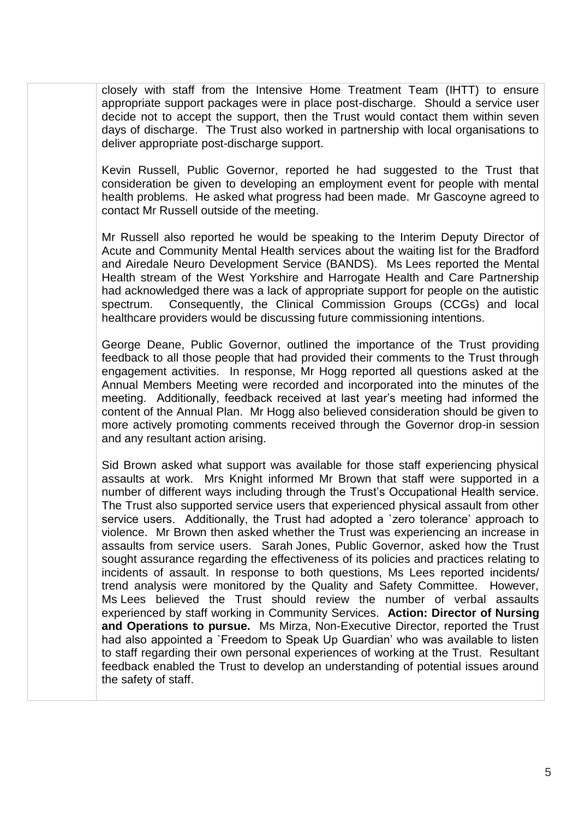closely with staff from the Intensive Home Treatment Team (IHTT) to ensure appropriate support packages were in place post-discharge. Should a service user decide not to accept the support, then the Trust would contact them within seven days of discharge. The Trust also worked in partnership with local organisations to deliver appropriate post-discharge support.

Kevin Russell, Public Governor, reported he had suggested to the Trust that consideration be given to developing an employment event for people with mental health problems. He asked what progress had been made. Mr Gascoyne agreed to contact Mr Russell outside of the meeting.

Mr Russell also reported he would be speaking to the Interim Deputy Director of Acute and Community Mental Health services about the waiting list for the Bradford and Airedale Neuro Development Service (BANDS). Ms Lees reported the Mental Health stream of the West Yorkshire and Harrogate Health and Care Partnership had acknowledged there was a lack of appropriate support for people on the autistic spectrum. Consequently, the Clinical Commission Groups (CCGs) and local healthcare providers would be discussing future commissioning intentions.

George Deane, Public Governor, outlined the importance of the Trust providing feedback to all those people that had provided their comments to the Trust through engagement activities. In response, Mr Hogg reported all questions asked at the Annual Members Meeting were recorded and incorporated into the minutes of the meeting. Additionally, feedback received at last year's meeting had informed the content of the Annual Plan. Mr Hogg also believed consideration should be given to more actively promoting comments received through the Governor drop-in session and any resultant action arising.

Sid Brown asked what support was available for those staff experiencing physical assaults at work. Mrs Knight informed Mr Brown that staff were supported in a number of different ways including through the Trust's Occupational Health service. The Trust also supported service users that experienced physical assault from other service users. Additionally, the Trust had adopted a `zero tolerance' approach to violence. Mr Brown then asked whether the Trust was experiencing an increase in assaults from service users. Sarah Jones, Public Governor, asked how the Trust sought assurance regarding the effectiveness of its policies and practices relating to incidents of assault. In response to both questions, Ms Lees reported incidents/ trend analysis were monitored by the Quality and Safety Committee. However, Ms Lees believed the Trust should review the number of verbal assaults experienced by staff working in Community Services. **Action: Director of Nursing and Operations to pursue.** Ms Mirza, Non-Executive Director, reported the Trust had also appointed a `Freedom to Speak Up Guardian' who was available to listen to staff regarding their own personal experiences of working at the Trust. Resultant feedback enabled the Trust to develop an understanding of potential issues around the safety of staff.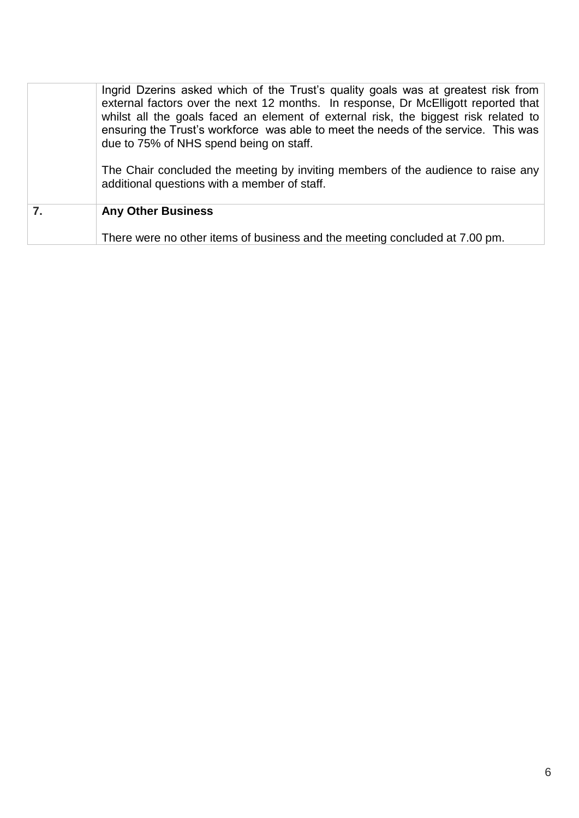|    | Ingrid Dzerins asked which of the Trust's quality goals was at greatest risk from<br>external factors over the next 12 months. In response, Dr McElligott reported that<br>whilst all the goals faced an element of external risk, the biggest risk related to<br>ensuring the Trust's workforce was able to meet the needs of the service. This was<br>due to 75% of NHS spend being on staff.<br>The Chair concluded the meeting by inviting members of the audience to raise any<br>additional questions with a member of staff. |  |
|----|-------------------------------------------------------------------------------------------------------------------------------------------------------------------------------------------------------------------------------------------------------------------------------------------------------------------------------------------------------------------------------------------------------------------------------------------------------------------------------------------------------------------------------------|--|
| 7. | <b>Any Other Business</b>                                                                                                                                                                                                                                                                                                                                                                                                                                                                                                           |  |
|    | There were no other items of business and the meeting concluded at 7.00 pm.                                                                                                                                                                                                                                                                                                                                                                                                                                                         |  |